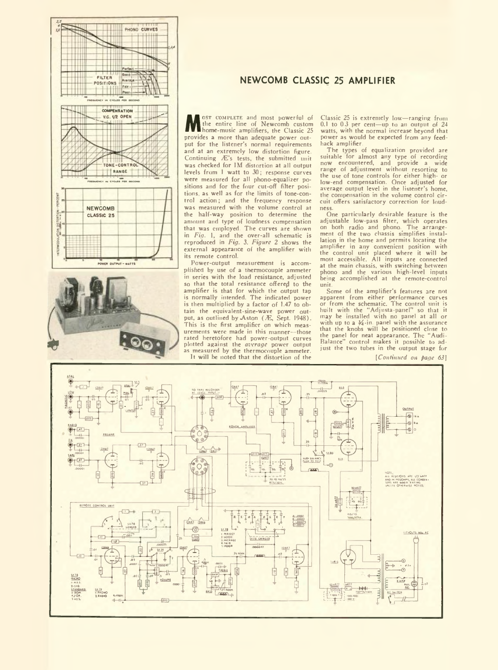



### **NEWCOMB CLASSIC 25 AMPLIFIER**

**M** as complete and most powerful of the entire line of Newcomb custom home-music amplifiers, the Classic 25<br>provides a more than adequate power outprovides a more than adequate power output for the listener's normal requirements and at an extremely low distortion figure. Continuing Æ's tests, the submitted unit was checked for IM distortion at all output levels from 1 watt to 30; response curves were measured for all phono-equalizer positions and for the four cut-off filter positions, as well as for the limits of tone-control action; and the frequency response was measured with the volume control at the half-way position to determine the amount and type of loudness compensation that was employed. The curves are shown in *Fig.* 1, and the over-all schematic is reproduced in *Fig.* 3. *Figure 2* shows the external appearance of the amplifier with its remote control.

Power-output measurement is accom-plished by use of a thermocouple ammeter in series with the load resistance, adjusted so that the total resistance offered to the amplifier is that for which the output tap is normally intended. The indicated power is then multiplied by a factor of 1.47 to obtain the equivalent-sine-wave power out-put, as outlined by Aston (^E, Sept. 1948). This is the first amplifier on which measurements were made in this manner—those rated heretofore had poWer-output curves plotted against the *average* power output as measured by the thermocouple ammeter. It will be noted that the distortion of the

Classic 25 is extremely low—ranging from 0.1 to 0.3 per cent—up to an output of 24 watts, with the normal increase beyond that power as would be expected from any feedback amplifier.

The types of equalization provided are suitable for almost any type of recording now encountered, and provide a wide range of adjustment without resorting to the use of tone controls for either high- or low-end compensation. Once adjusted for average output level in the listener's home, the compensation in the volume control circuit offers satisfactory correction for loudness.<br>One

particularly desirable feature is the adjustable low-pass filter, which operates on both radio and phono. The arrangement of the two chassis simplifies installation in the home and permits locating the amplifier in any convenient position with the control unit placed where it will be most accessible. All inputs are connected at the main chassis, with switching between phono and the various high-level inputs being accomplished at the remote-control unit.

Some of the amplifier's features are not apparent from either performance curves or from the schematic. The control unit is built with the "Adjusta-panel" so that it may be installed with no panel at all or<br>with up to a  $\frac{3}{4}$ -in. panel with the assurance<br>that the knobs will be positioned close to the panel for neat appearance. The "Audi-Balance" control makes it possible to adjust the two tubes in the output stage for

*[Continued on page 63]*